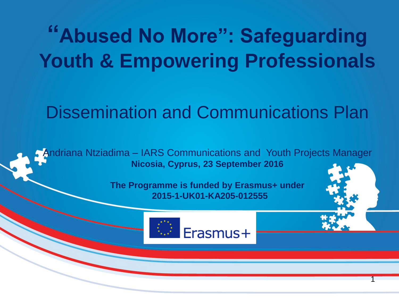### **"Abused No More": Safeguarding Youth & Empowering Professionals**

### Dissemination and Communications Plan

Andriana Ntziadima – IARS Communications and Youth Projects Manager **Nicosia, Cyprus, 23 September 2016**

> **The Programme is funded by Erasmus+ under 2015-1-UK01-KA205-012555**



1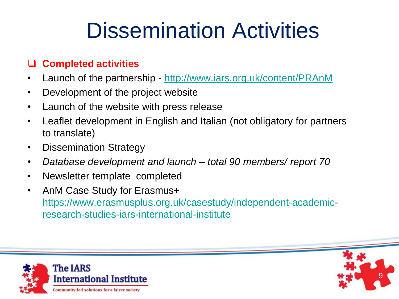#### **Completed activities**

- Launch of the partnership <http://www.iars.org.uk/content/PRAnM>
- Development of the project website
- Launch of the website with press release
- Leaflet development in English and Italian (not obligatory for partners to translate)
- Dissemination Strategy
- *Database development and launch – total 90 members/ report 70*
- Newsletter template completed
- AnM Case Study for Erasmus+ [https://www.erasmusplus.org.uk/casestudy/independent-academic](https://www.erasmusplus.org.uk/casestudy/independent-academic-research-studies-iars-international-institute)[research-studies-iars-international-institute](https://www.erasmusplus.org.uk/casestudy/independent-academic-research-studies-iars-international-institute)



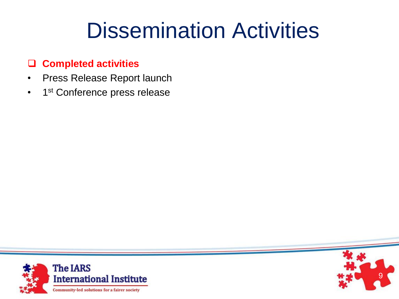#### **Completed activities**

- Press Release Report launch
- 1<sup>st</sup> Conference press release



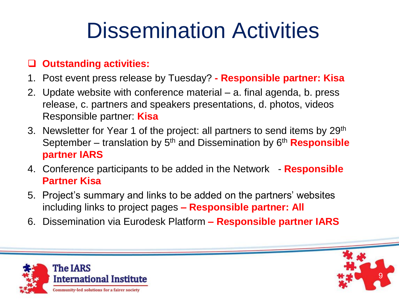#### **Outstanding activities:**

- 1. Post event press release by Tuesday? **- Responsible partner: Kisa**
- 2. Update website with conference material a. final agenda, b. press release, c. partners and speakers presentations, d. photos, videos Responsible partner: **Kisa**
- 3. Newsletter for Year 1 of the project: all partners to send items by 29th September – translation by 5th and Dissemination by 6th **Responsible partner IARS**
- 4. Conference participants to be added in the Network **Responsible Partner Kisa**
- 5. Project's summary and links to be added on the partners' websites including links to project pages **– Responsible partner: All**
- 6. Dissemination via Eurodesk Platform **– Responsible partner IARS**



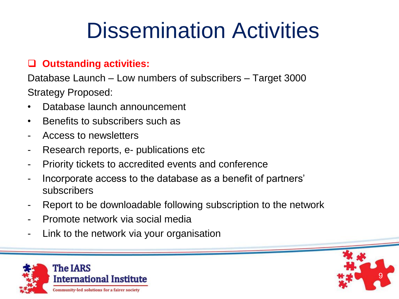#### **Outstanding activities:**

Database Launch – Low numbers of subscribers – Target 3000 Strategy Proposed:

- Database launch announcement
- Benefits to subscribers such as
- Access to newsletters
- Research reports, e- publications etc.
- Priority tickets to accredited events and conference
- Incorporate access to the database as a benefit of partners' subscribers
- Report to be downloadable following subscription to the network
- Promote network via social media
- Link to the network via your organisation



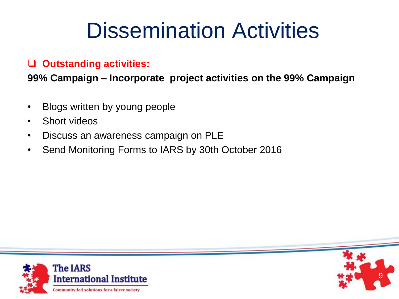#### **Outstanding activities:**

**99% Campaign – Incorporate project activities on the 99% Campaign**

- Blogs written by young people
- Short videos
- Discuss an awareness campaign on PLE
- Send Monitoring Forms to IARS by 30th October 2016



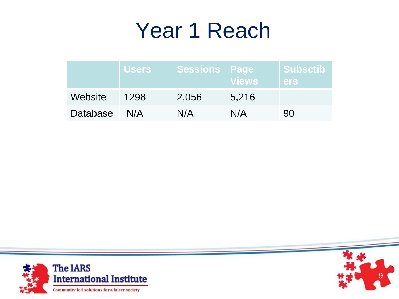### Year 1 Reach

|                 | <b>Users</b> | Sessions   Page | <b>Views</b> | Subsctib<br><b>lers</b> |
|-----------------|--------------|-----------------|--------------|-------------------------|
| Website         | 1298         | 2,056           | 5,216        |                         |
| <b>Database</b> | N/A          | N/A             | N/A          | 90                      |